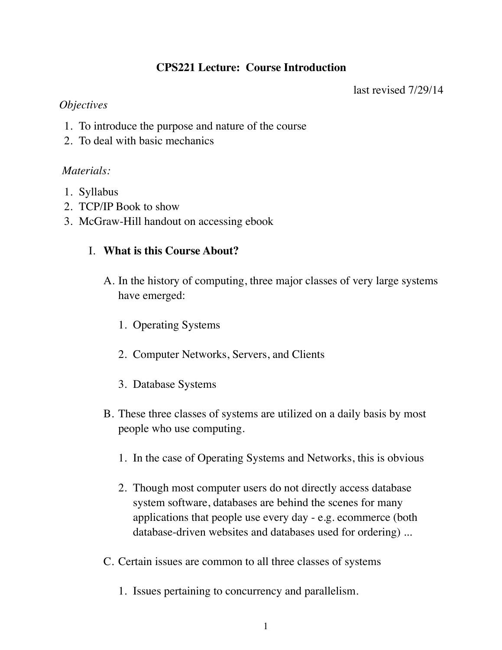# **CPS221 Lecture: Course Introduction**

last revised 7/29/14

### *Objectives*

- 1. To introduce the purpose and nature of the course
- 2. To deal with basic mechanics

## *Materials:*

- 1. Syllabus
- 2. TCP/IP Book to show
- 3. McGraw-Hill handout on accessing ebook

# I. **What is this Course About?**

- A. In the history of computing, three major classes of very large systems have emerged:
	- 1. Operating Systems
	- 2. Computer Networks, Servers, and Clients
	- 3. Database Systems
- B. These three classes of systems are utilized on a daily basis by most people who use computing.
	- 1. In the case of Operating Systems and Networks, this is obvious
	- 2. Though most computer users do not directly access database system software, databases are behind the scenes for many applications that people use every day - e.g. ecommerce (both database-driven websites and databases used for ordering) ...
- C. Certain issues are common to all three classes of systems
	- 1. Issues pertaining to concurrency and parallelism.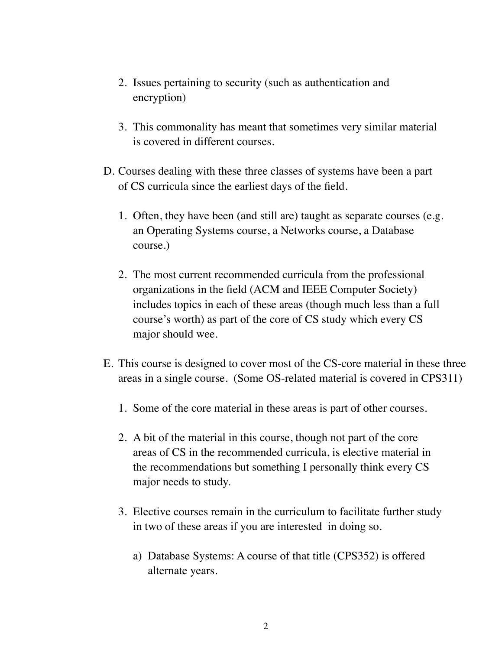- 2. Issues pertaining to security (such as authentication and encryption)
- 3. This commonality has meant that sometimes very similar material is covered in different courses.
- D. Courses dealing with these three classes of systems have been a part of CS curricula since the earliest days of the field.
	- 1. Often, they have been (and still are) taught as separate courses (e.g. an Operating Systems course, a Networks course, a Database course.)
	- 2. The most current recommended curricula from the professional organizations in the field (ACM and IEEE Computer Society) includes topics in each of these areas (though much less than a full course's worth) as part of the core of CS study which every CS major should wee.
- E. This course is designed to cover most of the CS-core material in these three areas in a single course. (Some OS-related material is covered in CPS311)
	- 1. Some of the core material in these areas is part of other courses.
	- 2. A bit of the material in this course, though not part of the core areas of CS in the recommended curricula, is elective material in the recommendations but something I personally think every CS major needs to study.
	- 3. Elective courses remain in the curriculum to facilitate further study in two of these areas if you are interested in doing so.
		- a) Database Systems: A course of that title (CPS352) is offered alternate years.